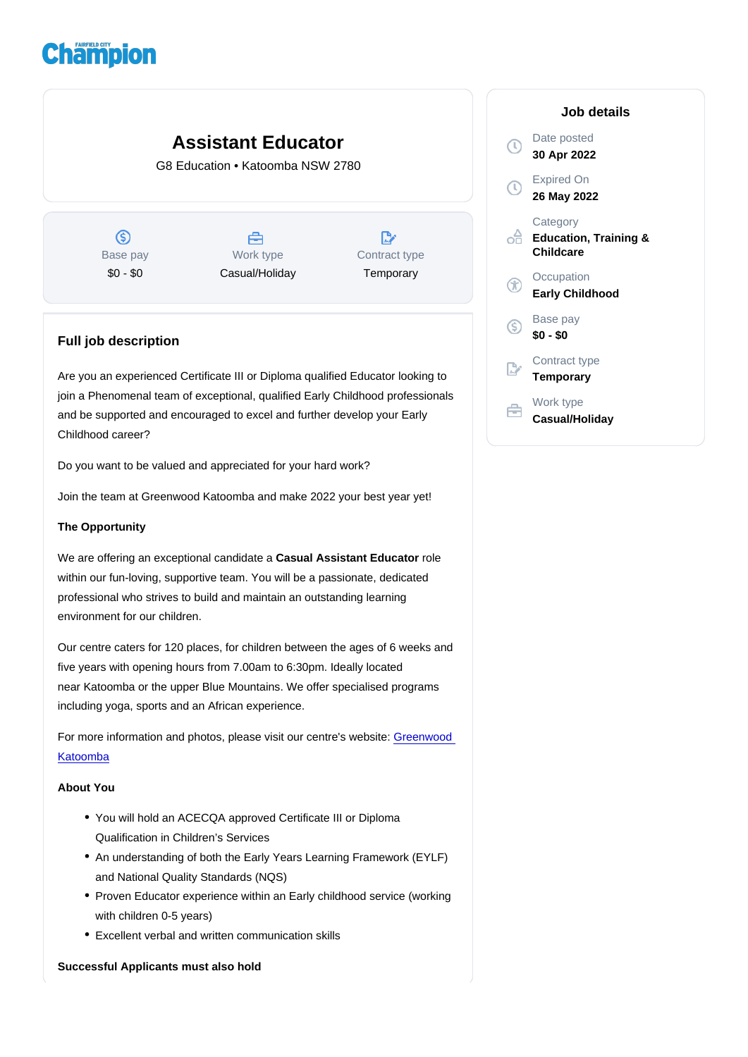# Assistant Educator

G8 Education • Katoomba NSW 2780

Base pay \$0 - \$0

Work type Casual/Holiday Contract type **Temporary** 

# Full job description

Are you an experienced Certificate III or Diploma qualified Educator looking to join a Phenomenal team of exceptional, qualified Early Childhood professionals and be supported and encouraged to excel and further develop your Early Childhood career?

Do you want to be valued and appreciated for your hard work?

Join the team at Greenwood Katoomba and make 2022 your best year yet!

## The Opportunity

We are offering an exceptional candidate a Casual Assistant Educator erole within our fun-loving, supportive team. You will be a passionate, dedicated professional who strives to build and maintain an outstanding learning environment for our children.

Our centre caters for 120 places, for children between the ages of 6 weeks and five years with opening hours from 7.00am to 6:30pm. Ideally located near Katoomba or the upper Blue Mountains. We offer specialised programs including yoga, sports and an African experience.

For more information and photos, please visit our centre's website: [Greenwood](https://www.greenwood.com.au/katoomba/)  [Katoomba](https://www.greenwood.com.au/katoomba/)

# About You

- You will hold an ACECQA approved Certificate III or Diploma Qualification in Children's Services
- An understanding of both the Early Years Learning Framework (EYLF) and National Quality Standards (NQS)
- Proven Educator experience within an Early childhood service (working with children 0-5 years)
- Excellent verbal and written communication skills

Successful Applicants must also hold

### Job details

Date posted 30 Apr 2022

Expired On 26 May 2022

**Category** Education, Training & Childcare

**Occupation** Early Childhood

Base pay \$0 - \$0

Contract type **Temporary** 

Work type Casual/Holiday